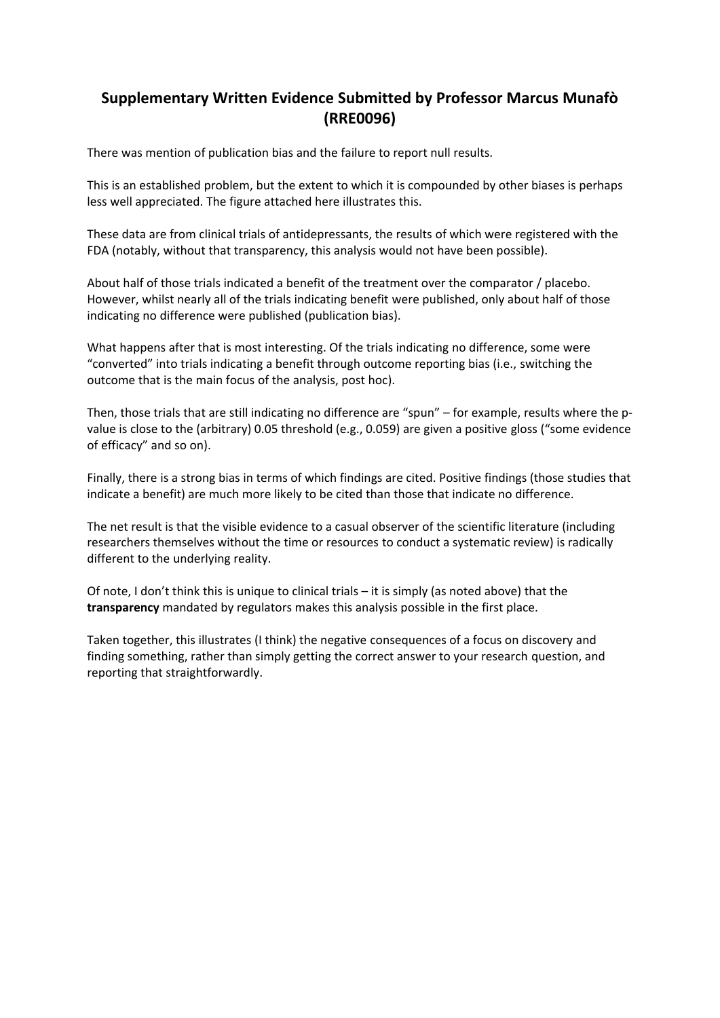## **Supplementary Written Evidence Submitted by Professor Marcus Munafò (RRE0096)**

There was mention of publication bias and the failure to report null results.

This is an established problem, but the extent to which it is compounded by other biases is perhaps less well appreciated. The figure attached here illustrates this.

These data are from clinical trials of antidepressants, the results of which were registered with the FDA (notably, without that transparency, this analysis would not have been possible).

About half of those trials indicated a benefit of the treatment over the comparator / placebo. However, whilst nearly all of the trials indicating benefit were published, only about half of those indicating no difference were published (publication bias).

What happens after that is most interesting. Of the trials indicating no difference, some were "converted" into trials indicating a benefit through outcome reporting bias (i.e., switching the outcome that is the main focus of the analysis, post hoc).

Then, those trials that are still indicating no difference are "spun" – for example, results where the pvalue is close to the (arbitrary) 0.05 threshold (e.g., 0.059) are given a positive gloss ("some evidence of efficacy" and so on).

Finally, there is a strong bias in terms of which findings are cited. Positive findings (those studies that indicate a benefit) are much more likely to be cited than those that indicate no difference.

The net result is that the visible evidence to a casual observer of the scientific literature (including researchers themselves without the time or resources to conduct a systematic review) is radically different to the underlying reality.

Of note, I don't think this is unique to clinical trials – it is simply (as noted above) that the **transparency** mandated by regulators makes this analysis possible in the first place.

Taken together, this illustrates (I think) the negative consequences of a focus on discovery and finding something, rather than simply getting the correct answer to your research question, and reporting that straightforwardly.